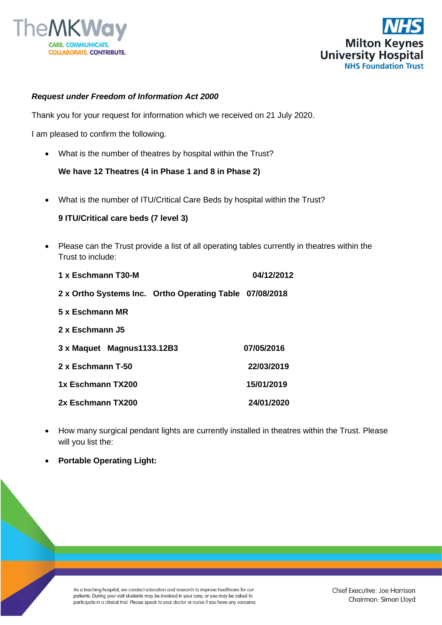



## *Request under Freedom of Information Act 2000*

Thank you for your request for information which we received on 21 July 2020.

I am pleased to confirm the following.

• What is the number of theatres by hospital within the Trust?

**We have 12 Theatres (4 in Phase 1 and 8 in Phase 2)**

• What is the number of ITU/Critical Care Beds by hospital within the Trust?

## **9 ITU/Critical care beds (7 level 3)**

• Please can the Trust provide a list of all operating tables currently in theatres within the Trust to include:

| 1 x Eschmann T30-M                                      | 04/12/2012 |
|---------------------------------------------------------|------------|
| 2 x Ortho Systems Inc. Ortho Operating Table 07/08/2018 |            |
| 5 x Eschmann MR                                         |            |
| 2 x Eschmann J5                                         |            |
| 3 x Maquet Magnus 1133.12B3                             | 07/05/2016 |
| 2 x Eschmann T-50                                       | 22/03/2019 |
| 1x Eschmann TX200                                       | 15/01/2019 |
| 2x Eschmann TX200                                       | 24/01/2020 |

- How many surgical pendant lights are currently installed in theatres within the Trust. Please will you list the:
- **Portable Operating Light:**

As a teaching hospital, we conduct education and research to improve healthcare for our patients. During your visit students may be involved in your care, or you may be asked to participate in a clinical trial. Please speak to your doctor or nurse if you have any concerns.